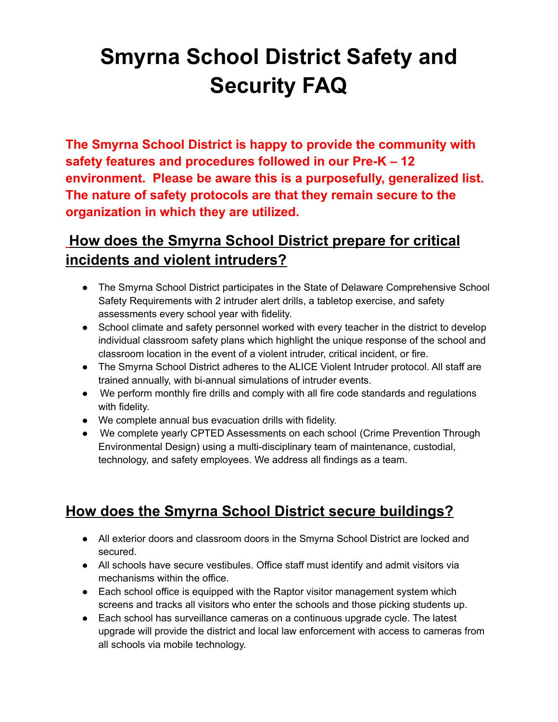## **Smyrna School District Safety and Security FAQ**

**The Smyrna School District is happy to provide the community with safety features and procedures followed in our Pre-K – 12 environment. Please be aware this is a purposefully, generalized list. The nature of safety protocols are that they remain secure to the organization in which they are utilized.**

### **How does the Smyrna School District prepare for critical incidents and violent intruders?**

- The Smyrna School District participates in the State of Delaware Comprehensive School Safety Requirements with 2 intruder alert drills, a tabletop exercise, and safety assessments every school year with fidelity.
- School climate and safety personnel worked with every teacher in the district to develop individual classroom safety plans which highlight the unique response of the school and classroom location in the event of a violent intruder, critical incident, or fire.
- The Smyrna School District adheres to the ALICE Violent Intruder protocol. All staff are trained annually, with bi-annual simulations of intruder events.
- We perform monthly fire drills and comply with all fire code standards and regulations with fidelity.
- We complete annual bus evacuation drills with fidelity.
- We complete yearly CPTED Assessments on each school (Crime Prevention Through Environmental Design) using a multi-disciplinary team of maintenance, custodial, technology, and safety employees. We address all findings as a team.

## **How does the Smyrna School District secure buildings?**

- All exterior doors and classroom doors in the Smyrna School District are locked and secured.
- All schools have secure vestibules. Office staff must identify and admit visitors via mechanisms within the office.
- Each school office is equipped with the Raptor visitor management system which screens and tracks all visitors who enter the schools and those picking students up.
- Each school has surveillance cameras on a continuous upgrade cycle. The latest upgrade will provide the district and local law enforcement with access to cameras from all schools via mobile technology.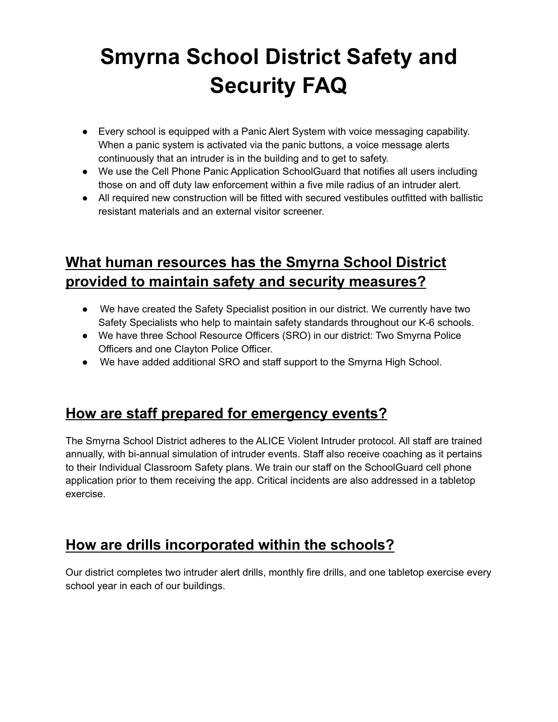## **Smyrna School District Safety and Security FAQ**

- Every school is equipped with a Panic Alert System with voice messaging capability. When a panic system is activated via the panic buttons, a voice message alerts continuously that an intruder is in the building and to get to safety.
- We use the Cell Phone Panic Application SchoolGuard that notifies all users including those on and off duty law enforcement within a five mile radius of an intruder alert.
- All required new construction will be fitted with secured vestibules outfitted with ballistic resistant materials and an external visitor screener.

## **What human resources has the Smyrna School District provided to maintain safety and security measures?**

- We have created the Safety Specialist position in our district. We currently have two Safety Specialists who help to maintain safety standards throughout our K-6 schools.
- We have three School Resource Officers (SRO) in our district: Two Smyrna Police Officers and one Clayton Police Officer.
- We have added additional SRO and staff support to the Smyrna High School.

#### **How are staff prepared for emergency events?**

The Smyrna School District adheres to the ALICE Violent Intruder protocol. All staff are trained annually, with bi-annual simulation of intruder events. Staff also receive coaching as it pertains to their Individual Classroom Safety plans. We train our staff on the SchoolGuard cell phone application prior to them receiving the app. Critical incidents are also addressed in a tabletop exercise.

#### **How are drills incorporated within the schools?**

Our district completes two intruder alert drills, monthly fire drills, and one tabletop exercise every school year in each of our buildings.